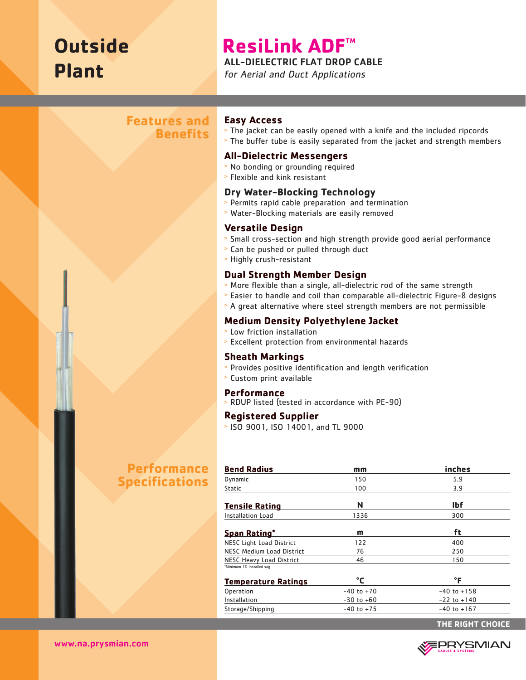# **Outside Plant**

## **ResiLink ADF™**

ALL-DIELECTRIC FLAT DROP CABLE

for Aerial and Duct Applications

## **Features and Benefits**

## **Easy Access**

- <sup>&</sup>gt; The jacket can be easily opened with a knife and the included ripcords
- <sup>&</sup>gt; The buffer tube is easily separated from the jacket and strength members

## **All-Dielectric Messengers**

- <sup>&</sup>gt; No bonding or grounding required
- <sup>&</sup>gt; Flexible and kink resistant

## **Dry Water-Blocking Technology**

- <sup>&</sup>gt; Permits rapid cable preparation and termination
- <sup>&</sup>gt; Water-Blocking materials are easily removed

## **Versatile Design**

- <sup>&</sup>gt; Small cross-section and high strength provide good aerial performance
- <sup>&</sup>gt; Can be pushed or pulled through duct
- <sup>&</sup>gt; Highly crush-resistant

## **Dual Strength Member Design**

- <sup>&</sup>gt; More flexible than a single, all-dielectric rod of the same strength
- <sup>&</sup>gt; Easier to handle and coil than comparable all-dielectric Figure-8 designs
- <sup>&</sup>gt; A great alternative where steel strength members are not permissible

## **Medium Density Polyethylene Jacket**

- <sup>&</sup>gt; Low friction installation
- <sup>&</sup>gt; Excellent protection from environmental hazards

## **Sheath Markings**

- <sup>&</sup>gt; Provides positive identification and length verification
- <sup>&</sup>gt; Custom print available

## **Performance**

<sup>&</sup>gt; RDUP listed (tested in accordance with PE-90)

## **Registered Supplier**

<sup>&</sup>gt; ISO 9001, ISO 14001, and TL 9000

## **Performance Specifications**

| <b>Bend Radius</b>               | mm             | inches          |  |
|----------------------------------|----------------|-----------------|--|
| Dynamic                          | 150            | 5.9             |  |
| <b>Static</b>                    | 100            | 3.9             |  |
| <b>Tensile Rating</b>            | N              | <b>Ibf</b>      |  |
| Installation Load                | 1336           | 300             |  |
| <u>Span Rating*</u>              | m              | ft              |  |
| <b>NESC Light Load District</b>  | 122            | 400             |  |
| <b>NESC Medium Load District</b> | 76             | 250             |  |
| <b>NESC Heavy Load District</b>  | 46             | 150             |  |
| *Minimum 1% installed sag        |                |                 |  |
| <u>Temperature Ratings</u>       | °٢             | °F              |  |
| Operation                        | $-40$ to $+70$ | $-40$ to $+158$ |  |
| Installation                     | $-30$ to $+60$ | $-22$ to $+140$ |  |
| Storage/Shipping                 | $-40$ to $+75$ | $-40$ to $+167$ |  |
|                                  |                |                 |  |